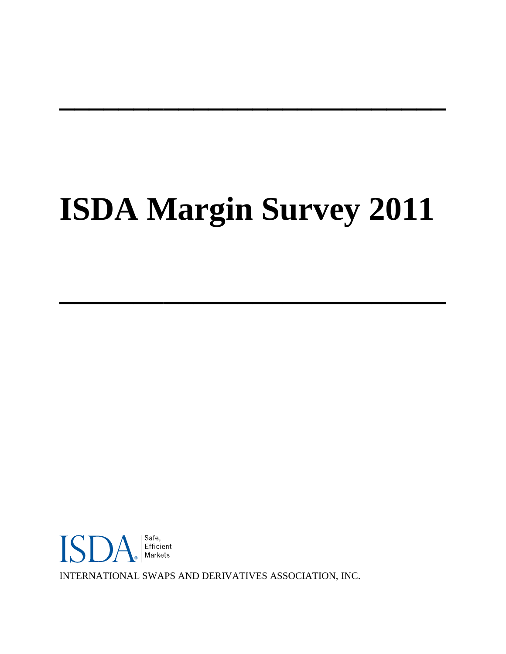# **ISDA Margin Survey 2011**

**\_\_\_\_\_\_\_\_\_\_\_\_\_\_\_\_\_\_\_\_\_\_\_\_\_\_**

**\_\_\_\_\_\_\_\_\_\_\_\_\_\_\_\_\_\_\_\_\_\_\_\_\_\_**



INTERNATIONAL SWAPS AND DERIVATIVES ASSOCIATION, INC.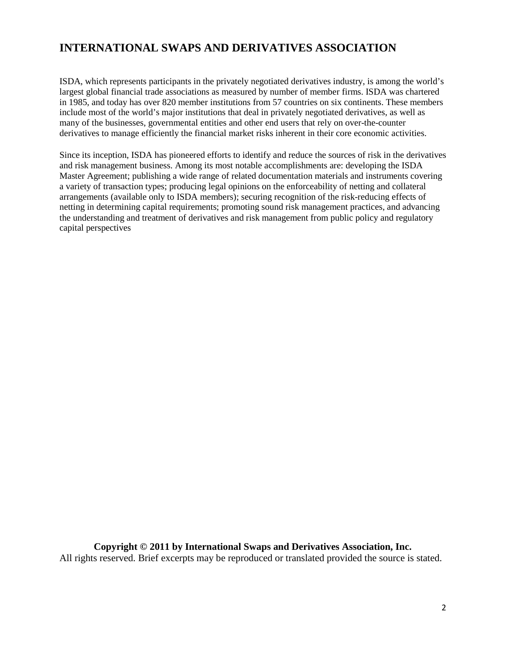# **INTERNATIONAL SWAPS AND DERIVATIVES ASSOCIATION**

ISDA, which represents participants in the privately negotiated derivatives industry, is among the world's largest global financial trade associations as measured by number of member firms. ISDA was chartered in 1985, and today has over 820 member institutions from 57 countries on six continents. These members include most of the world's major institutions that deal in privately negotiated derivatives, as well as many of the businesses, governmental entities and other end users that rely on over-the-counter derivatives to manage efficiently the financial market risks inherent in their core economic activities.

Since its inception, ISDA has pioneered efforts to identify and reduce the sources of risk in the derivatives and risk management business. Among its most notable accomplishments are: developing the ISDA Master Agreement; publishing a wide range of related documentation materials and instruments covering a variety of transaction types; producing legal opinions on the enforceability of netting and collateral arrangements (available only to ISDA members); securing recognition of the risk-reducing effects of netting in determining capital requirements; promoting sound risk management practices, and advancing the understanding and treatment of derivatives and risk management from public policy and regulatory capital perspectives

**Copyright © 2011 by International Swaps and Derivatives Association, Inc.** All rights reserved. Brief excerpts may be reproduced or translated provided the source is stated.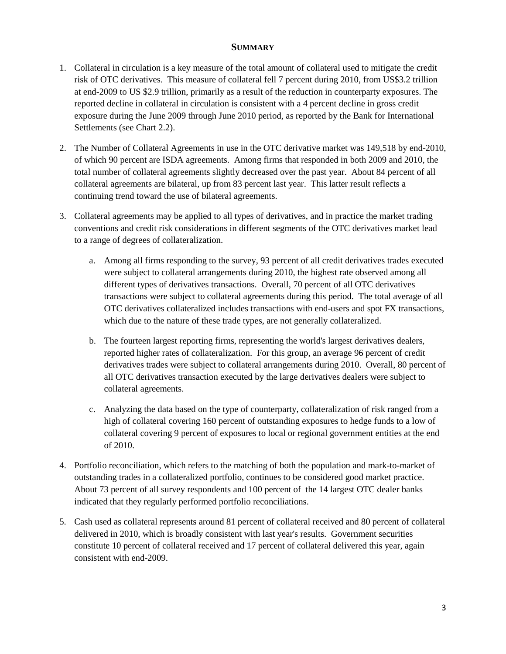## **SUMMARY**

- 1. Collateral in circulation is a key measure of the total amount of collateral used to mitigate the credit risk of OTC derivatives. This measure of collateral fell 7 percent during 2010, from US\$3.2 trillion at end-2009 to US \$2.9 trillion, primarily as a result of the reduction in counterparty exposures. The reported decline in collateral in circulation is consistent with a 4 percent decline in gross credit exposure during the June 2009 through June 2010 period, as reported by the Bank for International Settlements (see Chart 2.2).
- 2. The Number of Collateral Agreements in use in the OTC derivative market was 149,518 by end-2010, of which 90 percent are ISDA agreements. Among firms that responded in both 2009 and 2010, the total number of collateral agreements slightly decreased over the past year. About 84 percent of all collateral agreements are bilateral, up from 83 percent last year. This latter result reflects a continuing trend toward the use of bilateral agreements.
- 3. Collateral agreements may be applied to all types of derivatives, and in practice the market trading conventions and credit risk considerations in different segments of the OTC derivatives market lead to a range of degrees of collateralization.
	- a. Among all firms responding to the survey, 93 percent of all credit derivatives trades executed were subject to collateral arrangements during 2010, the highest rate observed among all different types of derivatives transactions. Overall, 70 percent of all OTC derivatives transactions were subject to collateral agreements during this period. The total average of all OTC derivatives collateralized includes transactions with end-users and spot FX transactions, which due to the nature of these trade types, are not generally collateralized.
	- b. The fourteen largest reporting firms, representing the world's largest derivatives dealers, reported higher rates of collateralization. For this group, an average 96 percent of credit derivatives trades were subject to collateral arrangements during 2010. Overall, 80 percent of all OTC derivatives transaction executed by the large derivatives dealers were subject to collateral agreements.
	- c. Analyzing the data based on the type of counterparty, collateralization of risk ranged from a high of collateral covering 160 percent of outstanding exposures to hedge funds to a low of collateral covering 9 percent of exposures to local or regional government entities at the end of 2010.
- 4. Portfolio reconciliation, which refers to the matching of both the population and mark-to-market of outstanding trades in a collateralized portfolio, continues to be considered good market practice. About 73 percent of all survey respondents and 100 percent of the 14 largest OTC dealer banks indicated that they regularly performed portfolio reconciliations.
- 5. Cash used as collateral represents around 81 percent of collateral received and 80 percent of collateral delivered in 2010, which is broadly consistent with last year's results. Government securities constitute 10 percent of collateral received and 17 percent of collateral delivered this year, again consistent with end-2009.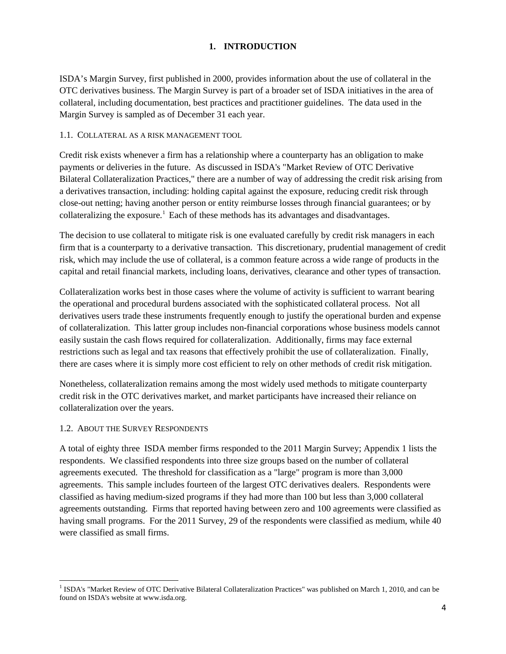## **1. INTRODUCTION**

ISDA's Margin Survey, first published in 2000, provides information about the use of collateral in the OTC derivatives business. The Margin Survey is part of a broader set of ISDA initiatives in the area of collateral, including documentation, best practices and practitioner guidelines. The data used in the Margin Survey is sampled as of December 31 each year.

#### 1.1. COLLATERAL AS A RISK MANAGEMENT TOOL

Credit risk exists whenever a firm has a relationship where a counterparty has an obligation to make payments or deliveries in the future. As discussed in ISDA's "Market Review of OTC Derivative Bilateral Collateralization Practices," there are a number of way of addressing the credit risk arising from a derivatives transaction, including: holding capital against the exposure, reducing credit risk through close-out netting; having another person or entity reimburse losses through financial guarantees; or by collateralizing the exposure.<sup>[1](#page-3-0)</sup> Each of these methods has its advantages and disadvantages.

The decision to use collateral to mitigate risk is one evaluated carefully by credit risk managers in each firm that is a counterparty to a derivative transaction. This discretionary, prudential management of credit risk, which may include the use of collateral, is a common feature across a wide range of products in the capital and retail financial markets, including loans, derivatives, clearance and other types of transaction.

Collateralization works best in those cases where the volume of activity is sufficient to warrant bearing the operational and procedural burdens associated with the sophisticated collateral process. Not all derivatives users trade these instruments frequently enough to justify the operational burden and expense of collateralization. This latter group includes non-financial corporations whose business models cannot easily sustain the cash flows required for collateralization. Additionally, firms may face external restrictions such as legal and tax reasons that effectively prohibit the use of collateralization. Finally, there are cases where it is simply more cost efficient to rely on other methods of credit risk mitigation.

Nonetheless, collateralization remains among the most widely used methods to mitigate counterparty credit risk in the OTC derivatives market, and market participants have increased their reliance on collateralization over the years.

#### 1.2. ABOUT THE SURVEY RESPONDENTS

l

A total of eighty three ISDA member firms responded to the 2011 Margin Survey; Appendix 1 lists the respondents. We classified respondents into three size groups based on the number of collateral agreements executed. The threshold for classification as a "large" program is more than 3,000 agreements. This sample includes fourteen of the largest OTC derivatives dealers. Respondents were classified as having medium-sized programs if they had more than 100 but less than 3,000 collateral agreements outstanding. Firms that reported having between zero and 100 agreements were classified as having small programs. For the 2011 Survey, 29 of the respondents were classified as medium, while 40 were classified as small firms.

<span id="page-3-0"></span><sup>&</sup>lt;sup>1</sup> ISDA's "Market Review of OTC Derivative Bilateral Collateralization Practices" was published on March 1, 2010, and can be found on ISDA's website at www.isda.org.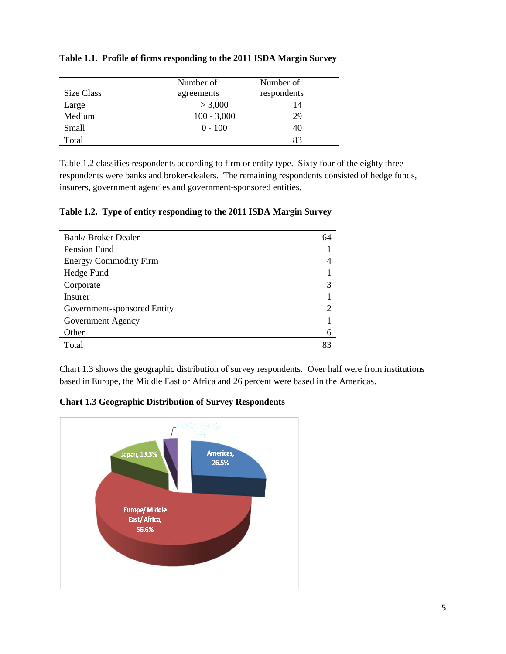| Size Class | Number of<br>agreements | Number of<br>respondents |
|------------|-------------------------|--------------------------|
| Large      | > 3,000                 | 14                       |
| Medium     | $100 - 3,000$           | 29                       |
| Small      | $0 - 100$               |                          |
| Total      |                         |                          |

## **Table 1.1. Profile of firms responding to the 2011 ISDA Margin Survey**

Table 1.2 classifies respondents according to firm or entity type. Sixty four of the eighty three respondents were banks and broker-dealers. The remaining respondents consisted of hedge funds, insurers, government agencies and government-sponsored entities.

|  |  |  | Table 1.2. Type of entity responding to the 2011 ISDA Margin Survey |  |
|--|--|--|---------------------------------------------------------------------|--|
|--|--|--|---------------------------------------------------------------------|--|

| Bank/Broker Dealer          | 64                          |
|-----------------------------|-----------------------------|
| Pension Fund                |                             |
| Energy/Commodity Firm       |                             |
| Hedge Fund                  |                             |
| Corporate                   | 3                           |
| Insurer                     |                             |
| Government-sponsored Entity | $\mathcal{D}_{\mathcal{A}}$ |
| Government Agency           |                             |
| Other                       | 6                           |
| Total                       | 83                          |

Chart 1.3 shows the geographic distribution of survey respondents. Over half were from institutions based in Europe, the Middle East or Africa and 26 percent were based in the Americas.

**Chart 1.3 Geographic Distribution of Survey Respondents** 

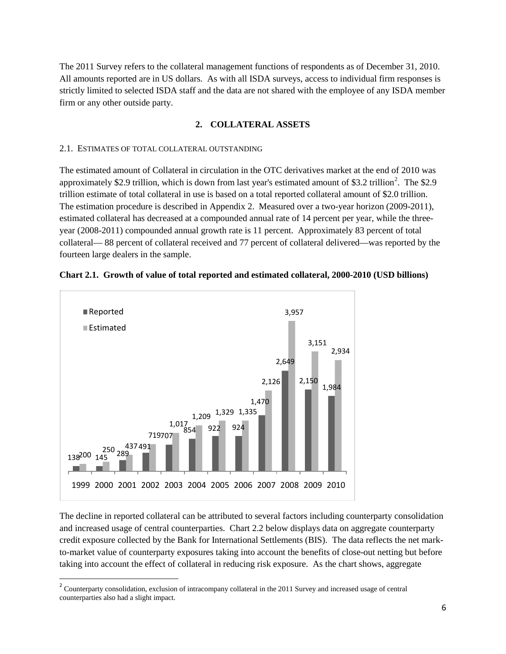The 2011 Survey refers to the collateral management functions of respondents as of December 31, 2010. All amounts reported are in US dollars. As with all ISDA surveys, access to individual firm responses is strictly limited to selected ISDA staff and the data are not shared with the employee of any ISDA member firm or any other outside party.

#### **2. COLLATERAL ASSETS**

#### 2.1. ESTIMATES OF TOTAL COLLATERAL OUTSTANDING

The estimated amount of Collateral in circulation in the OTC derivatives market at the end of 2010 was approximately \$[2](#page-5-0).9 trillion, which is down from last year's estimated amount of \$3.2 trillion<sup>2</sup>. The \$2.9 trillion estimate of total collateral in use is based on a total reported collateral amount of \$2.0 trillion. The estimation procedure is described in Appendix 2. Measured over a two-year horizon (2009-2011), estimated collateral has decreased at a compounded annual rate of 14 percent per year, while the threeyear (2008-2011) compounded annual growth rate is 11 percent. Approximately 83 percent of total collateral— 88 percent of collateral received and 77 percent of collateral delivered—was reported by the fourteen large dealers in the sample.



#### **Chart 2.1. Growth of value of total reported and estimated collateral, 2000-2010 (USD billions)**

The decline in reported collateral can be attributed to several factors including counterparty consolidation and increased usage of central counterparties. Chart 2.2 below displays data on aggregate counterparty credit exposure collected by the Bank for International Settlements (BIS). The data reflects the net markto-market value of counterparty exposures taking into account the benefits of close-out netting but before taking into account the effect of collateral in reducing risk exposure. As the chart shows, aggregate

<span id="page-5-0"></span><sup>&</sup>lt;sup>2</sup> Counterparty consolidation, exclusion of intracompany collateral in the 2011 Survey and increased usage of central counterparties also had a slight impact.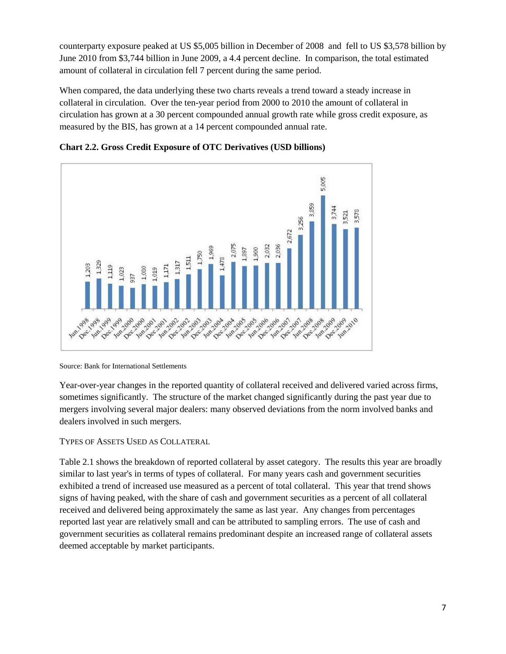counterparty exposure peaked at US \$5,005 billion in December of 2008 and fell to US \$3,578 billion by June 2010 from \$3,744 billion in June 2009, a 4.4 percent decline. In comparison, the total estimated amount of collateral in circulation fell 7 percent during the same period.

When compared, the data underlying these two charts reveals a trend toward a steady increase in collateral in circulation. Over the ten-year period from 2000 to 2010 the amount of collateral in circulation has grown at a 30 percent compounded annual growth rate while gross credit exposure, as measured by the BIS, has grown at a 14 percent compounded annual rate.





Source: Bank for International Settlements

Year-over-year changes in the reported quantity of collateral received and delivered varied across firms, sometimes significantly. The structure of the market changed significantly during the past year due to mergers involving several major dealers: many observed deviations from the norm involved banks and dealers involved in such mergers.

## TYPES OF ASSETS USED AS COLLATERAL

Table 2.1 shows the breakdown of reported collateral by asset category. The results this year are broadly similar to last year's in terms of types of collateral. For many years cash and government securities exhibited a trend of increased use measured as a percent of total collateral. This year that trend shows signs of having peaked, with the share of cash and government securities as a percent of all collateral received and delivered being approximately the same as last year. Any changes from percentages reported last year are relatively small and can be attributed to sampling errors. The use of cash and government securities as collateral remains predominant despite an increased range of collateral assets deemed acceptable by market participants.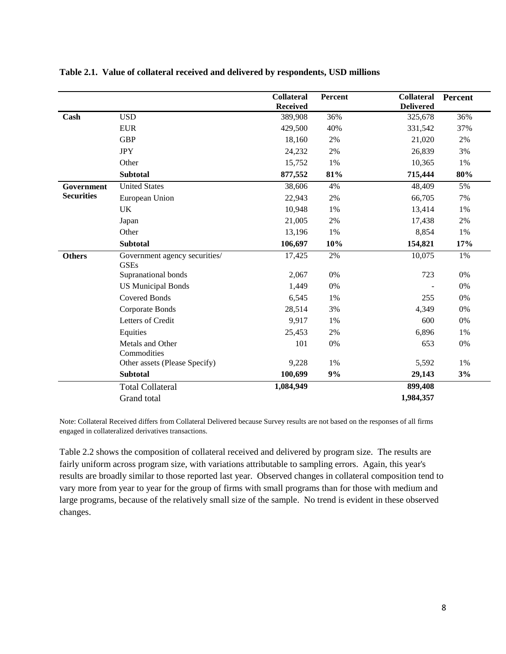|                   |                                              | <b>Collateral</b><br><b>Received</b> | Percent | <b>Collateral</b><br><b>Delivered</b> | Percent |
|-------------------|----------------------------------------------|--------------------------------------|---------|---------------------------------------|---------|
| Cash              | <b>USD</b>                                   | 389,908                              | 36%     | 325,678                               | 36%     |
|                   | <b>EUR</b>                                   | 429,500                              | 40%     | 331,542                               | 37%     |
|                   | <b>GBP</b>                                   | 18,160                               | 2%      | 21,020                                | 2%      |
|                   | <b>JPY</b>                                   | 24,232                               | 2%      | 26,839                                | 3%      |
|                   | Other                                        | 15,752                               | 1%      | 10,365                                | 1%      |
|                   | <b>Subtotal</b>                              | 877,552                              | 81%     | 715,444                               | 80%     |
| Government        | <b>United States</b>                         | 38,606                               | 4%      | 48,409                                | 5%      |
| <b>Securities</b> | European Union                               | 22,943                               | 2%      | 66,705                                | 7%      |
|                   | <b>UK</b>                                    | 10,948                               | 1%      | 13,414                                | 1%      |
|                   | Japan                                        | 21,005                               | 2%      | 17,438                                | 2%      |
|                   | Other                                        | 13,196                               | 1%      | 8,854                                 | 1%      |
|                   | <b>Subtotal</b>                              | 106,697                              | 10%     | 154,821                               | 17%     |
| <b>Others</b>     | Government agency securities/<br><b>GSEs</b> | 17,425                               | 2%      | 10,075                                | 1%      |
|                   | Supranational bonds                          | 2,067                                | 0%      | 723                                   | 0%      |
|                   | <b>US Municipal Bonds</b>                    | 1,449                                | 0%      |                                       | 0%      |
|                   | <b>Covered Bonds</b>                         | 6,545                                | 1%      | 255                                   | 0%      |
|                   | Corporate Bonds                              | 28,514                               | 3%      | 4,349                                 | 0%      |
|                   | Letters of Credit                            | 9,917                                | 1%      | 600                                   | 0%      |
|                   | Equities                                     | 25,453                               | 2%      | 6,896                                 | 1%      |
|                   | Metals and Other<br>Commodities              | 101                                  | 0%      | 653                                   | 0%      |
|                   | Other assets (Please Specify)                | 9,228                                | 1%      | 5,592                                 | 1%      |
|                   | <b>Subtotal</b>                              | 100,699                              | 9%      | 29,143                                | 3%      |
|                   | <b>Total Collateral</b>                      | 1,084,949                            |         | 899,408                               |         |
|                   | Grand total                                  |                                      |         | 1,984,357                             |         |

#### **Table 2.1. Value of collateral received and delivered by respondents, USD millions**

Note: Collateral Received differs from Collateral Delivered because Survey results are not based on the responses of all firms engaged in collateralized derivatives transactions.

Table 2.2 shows the composition of collateral received and delivered by program size. The results are fairly uniform across program size, with variations attributable to sampling errors. Again, this year's results are broadly similar to those reported last year. Observed changes in collateral composition tend to vary more from year to year for the group of firms with small programs than for those with medium and large programs, because of the relatively small size of the sample. No trend is evident in these observed changes.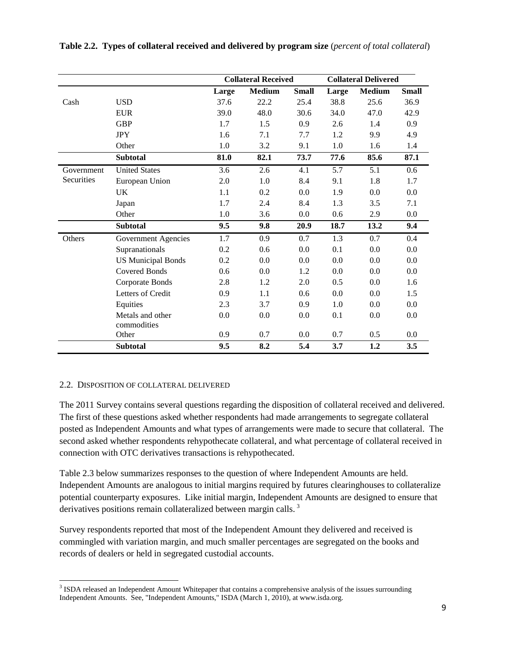|            |                            |       | <b>Collateral Received</b> |              | <b>Collateral Delivered</b> |               |              |
|------------|----------------------------|-------|----------------------------|--------------|-----------------------------|---------------|--------------|
|            |                            | Large | <b>Medium</b>              | <b>Small</b> | Large                       | <b>Medium</b> | <b>Small</b> |
| Cash       | <b>USD</b>                 | 37.6  | 22.2                       | 25.4         | 38.8                        | 25.6          | 36.9         |
|            | <b>EUR</b>                 | 39.0  | 48.0                       | 30.6         | 34.0                        | 47.0          | 42.9         |
|            | <b>GBP</b>                 | 1.7   | 1.5                        | 0.9          | 2.6                         | 1.4           | 0.9          |
|            | <b>JPY</b>                 | 1.6   | 7.1                        | 7.7          | 1.2                         | 9.9           | 4.9          |
|            | Other                      | 1.0   | 3.2                        | 9.1          | 1.0                         | 1.6           | 1.4          |
|            | <b>Subtotal</b>            | 81.0  | 82.1                       | 73.7         | 77.6                        | 85.6          | 87.1         |
| Government | <b>United States</b>       | 3.6   | 2.6                        | 4.1          | 5.7                         | 5.1           | 0.6          |
| Securities | European Union             | 2.0   | 1.0                        | 8.4          | 9.1                         | 1.8           | 1.7          |
|            | UK                         | 1.1   | 0.2                        | 0.0          | 1.9                         | 0.0           | 0.0          |
|            | Japan                      | 1.7   | 2.4                        | 8.4          | 1.3                         | 3.5           | 7.1          |
|            | Other                      | 1.0   | 3.6                        | 0.0          | 0.6                         | 2.9           | 0.0          |
|            | <b>Subtotal</b>            | 9.5   | 9.8                        | 20.9         | 18.7                        | 13.2          | 9.4          |
| Others     | <b>Government Agencies</b> | 1.7   | 0.9                        | 0.7          | 1.3                         | 0.7           | 0.4          |
|            | Supranationals             | 0.2   | 0.6                        | 0.0          | 0.1                         | 0.0           | 0.0          |
|            | <b>US Municipal Bonds</b>  | 0.2   | 0.0                        | 0.0          | 0.0                         | 0.0           | 0.0          |
|            | <b>Covered Bonds</b>       | 0.6   | 0.0                        | 1.2          | 0.0                         | 0.0           | 0.0          |
|            | Corporate Bonds            | 2.8   | 1.2                        | 2.0          | 0.5                         | 0.0           | 1.6          |
|            | Letters of Credit          | 0.9   | 1.1                        | 0.6          | 0.0                         | 0.0           | 1.5          |
|            | Equities                   | 2.3   | 3.7                        | 0.9          | 1.0                         | 0.0           | 0.0          |
|            | Metals and other           | 0.0   | 0.0                        | 0.0          | 0.1                         | 0.0           | 0.0          |
|            | commodities                |       |                            |              |                             |               |              |
|            | Other                      | 0.9   | 0.7                        | 0.0          | 0.7                         | 0.5           | 0.0          |
|            | <b>Subtotal</b>            | 9.5   | 8.2                        | 5.4          | 3.7                         | 1.2           | 3.5          |

**Table 2.2. Types of collateral received and delivered by program size** (*percent of total collateral*)

## 2.2. DISPOSITION OF COLLATERAL DELIVERED

l

The 2011 Survey contains several questions regarding the disposition of collateral received and delivered. The first of these questions asked whether respondents had made arrangements to segregate collateral posted as Independent Amounts and what types of arrangements were made to secure that collateral. The second asked whether respondents rehypothecate collateral, and what percentage of collateral received in connection with OTC derivatives transactions is rehypothecated.

Table 2.3 below summarizes responses to the question of where Independent Amounts are held. Independent Amounts are analogous to initial margins required by futures clearinghouses to collateralize potential counterparty exposures. Like initial margin, Independent Amounts are designed to ensure that derivatives positions remain collateralized between margin calls.<sup>[3](#page-8-0)</sup>

Survey respondents reported that most of the Independent Amount they delivered and received is commingled with variation margin, and much smaller percentages are segregated on the books and records of dealers or held in segregated custodial accounts.

<span id="page-8-0"></span><sup>&</sup>lt;sup>3</sup> ISDA released an Independent Amount Whitepaper that contains a comprehensive analysis of the issues surrounding Independent Amounts. See, "Independent Amounts," ISDA (March 1, 2010), at www.isda.org.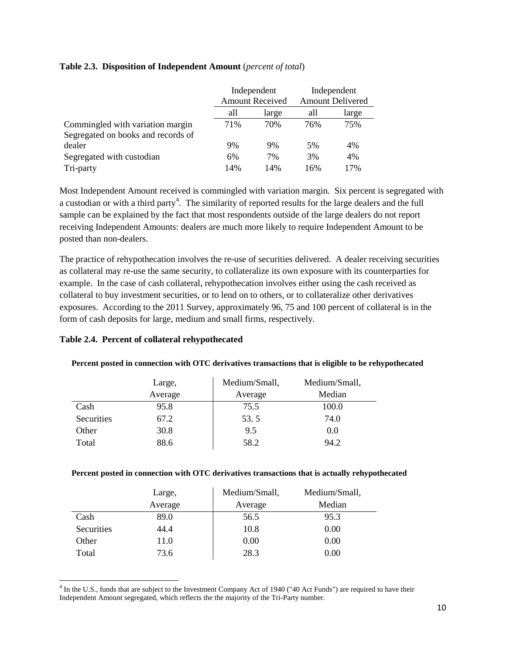|                                    | Independent<br><b>Amount Received</b> |       | Independent<br><b>Amount Delivered</b> |       |
|------------------------------------|---------------------------------------|-------|----------------------------------------|-------|
|                                    | all                                   | large | all                                    | large |
| Commingled with variation margin   | 71%                                   | 70%   | 76%                                    | 75%   |
| Segregated on books and records of |                                       |       |                                        |       |
| dealer                             | 9%                                    | 9%    | 5%                                     | 4%    |
| Segregated with custodian          | 6%                                    | 7%    | 3%                                     | 4%    |
| Tri-party                          | 14%                                   | 14%   | 16%                                    | 17%   |

#### **Table 2.3. Disposition of Independent Amount** (*percent of total*)

Most Independent Amount received is commingled with variation margin. Six percent is segregated with a custodian or with a third party<sup>[4](#page-9-0)</sup>. The similarity of reported results for the large dealers and the full sample can be explained by the fact that most respondents outside of the large dealers do not report receiving Independent Amounts: dealers are much more likely to require Independent Amount to be posted than non-dealers.

The practice of rehypothecation involves the re-use of securities delivered. A dealer receiving securities as collateral may re-use the same security, to collateralize its own exposure with its counterparties for example. In the case of cash collateral, rehypothecation involves either using the cash received as collateral to buy investment securities, or to lend on to others, or to collateralize other derivatives exposures. According to the 2011 Survey, approximately 96, 75 and 100 percent of collateral is in the form of cash deposits for large, medium and small firms, respectively.

## **Table 2.4. Percent of collateral rehypothecated**

l

|            | Large,  | Medium/Small, | Medium/Small, |
|------------|---------|---------------|---------------|
|            | Average | Average       | Median        |
| Cash       | 95.8    | 75.5          | 100.0         |
| Securities | 67.2    | 53.5          | 74.0          |
| Other      | 30.8    | 9.5           | 0.0           |
| Total      | 88.6    | 58.2          | 94.2          |

#### **Percent posted in connection with OTC derivatives transactions that is eligible to be rehypothecated**

#### **Percent posted in connection with OTC derivatives transactions that is actually rehypothecated**

|            | Large,  | Medium/Small, | Medium/Small, |
|------------|---------|---------------|---------------|
|            | Average | Average       | Median        |
| Cash       | 89.0    | 56.5          | 95.3          |
| Securities | 44.4    | 10.8          | 0.00          |
| Other      | 11.0    | 0.00          | 0.00          |
| Total      | 73.6    | 28.3          | 0.00          |

<span id="page-9-0"></span><sup>&</sup>lt;sup>4</sup> In the U.S., funds that are subject to the Investment Company Act of 1940 ("40 Act Funds") are required to have their Independent Amount segregated, which reflects the the majority of the Tri-Party number.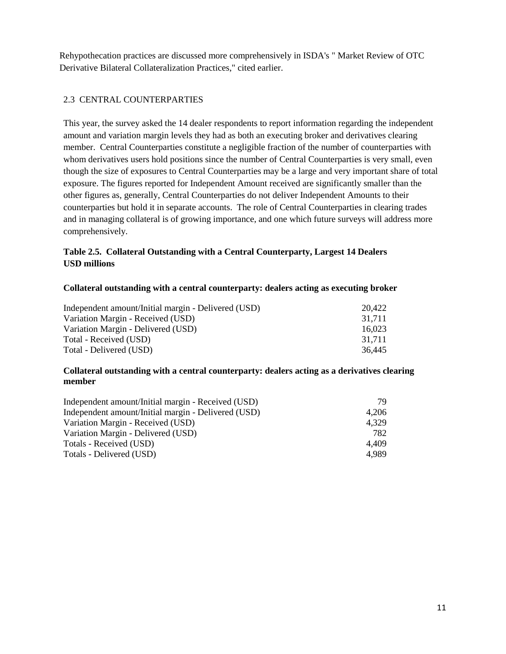Rehypothecation practices are discussed more comprehensively in ISDA's " Market Review of OTC Derivative Bilateral Collateralization Practices," cited earlier.

## 2.3 CENTRAL COUNTERPARTIES

This year, the survey asked the 14 dealer respondents to report information regarding the independent amount and variation margin levels they had as both an executing broker and derivatives clearing member. Central Counterparties constitute a negligible fraction of the number of counterparties with whom derivatives users hold positions since the number of Central Counterparties is very small, even though the size of exposures to Central Counterparties may be a large and very important share of total exposure. The figures reported for Independent Amount received are significantly smaller than the other figures as, generally, Central Counterparties do not deliver Independent Amounts to their counterparties but hold it in separate accounts. The role of Central Counterparties in clearing trades and in managing collateral is of growing importance, and one which future surveys will address more comprehensively.

## **Table 2.5. Collateral Outstanding with a Central Counterparty, Largest 14 Dealers USD millions**

#### **Collateral outstanding with a central counterparty: dealers acting as executing broker**

| Independent amount/Initial margin - Delivered (USD) | 20.422 |
|-----------------------------------------------------|--------|
| Variation Margin - Received (USD)                   | 31.711 |
| Variation Margin - Delivered (USD)                  | 16.023 |
| Total - Received (USD)                              | 31.711 |
| Total - Delivered (USD)                             | 36.445 |

#### **Collateral outstanding with a central counterparty: dealers acting as a derivatives clearing member**

| Independent amount/Initial margin - Received (USD)  | 79.   |
|-----------------------------------------------------|-------|
| Independent amount/Initial margin - Delivered (USD) | 4.206 |
| Variation Margin - Received (USD)                   | 4.329 |
| Variation Margin - Delivered (USD)                  | 782   |
| Totals - Received (USD)                             | 4.409 |
| Totals - Delivered (USD)                            | 4.989 |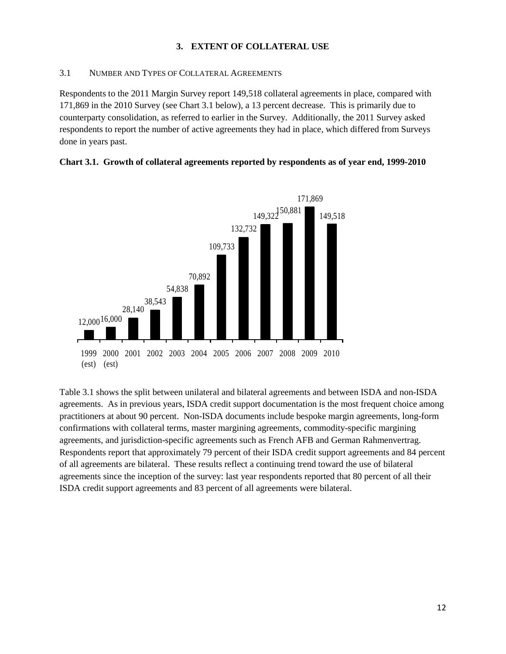## **3. EXTENT OF COLLATERAL USE**

#### 3.1 NUMBER AND TYPES OF COLLATERAL AGREEMENTS

Respondents to the 2011 Margin Survey report 149,518 collateral agreements in place, compared with 171,869 in the 2010 Survey (see Chart 3.1 below), a 13 percent decrease. This is primarily due to counterparty consolidation, as referred to earlier in the Survey. Additionally, the 2011 Survey asked respondents to report the number of active agreements they had in place, which differed from Surveys done in years past.





Table 3.1 shows the split between unilateral and bilateral agreements and between ISDA and non-ISDA agreements. As in previous years, ISDA credit support documentation is the most frequent choice among practitioners at about 90 percent. Non-ISDA documents include bespoke margin agreements, long-form confirmations with collateral terms, master margining agreements, commodity-specific margining agreements, and jurisdiction-specific agreements such as French AFB and German Rahmenvertrag. Respondents report that approximately 79 percent of their ISDA credit support agreements and 84 percent of all agreements are bilateral. These results reflect a continuing trend toward the use of bilateral agreements since the inception of the survey: last year respondents reported that 80 percent of all their ISDA credit support agreements and 83 percent of all agreements were bilateral.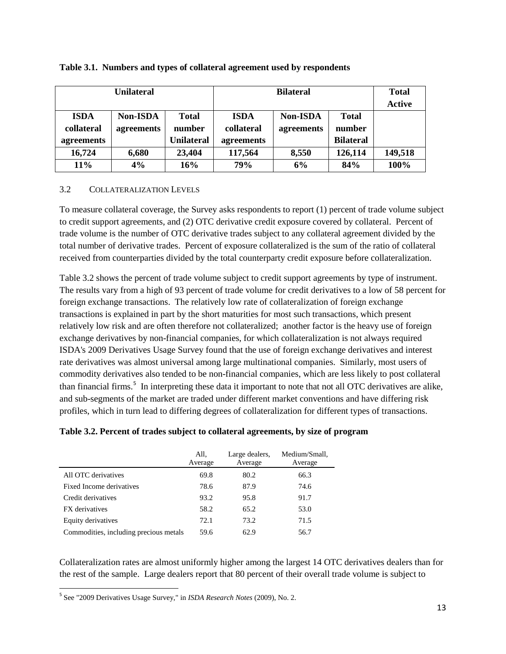| <b>Unilateral</b> |                 |                   | <b>Bilateral</b> |                 |                  | <b>Total</b>  |
|-------------------|-----------------|-------------------|------------------|-----------------|------------------|---------------|
|                   |                 |                   |                  |                 |                  | <b>Active</b> |
| <b>ISDA</b>       | <b>Non-ISDA</b> | <b>Total</b>      | <b>ISDA</b>      | <b>Non-ISDA</b> | <b>Total</b>     |               |
| collateral        | agreements      | number            | collateral       | agreements      | number           |               |
| agreements        |                 | <b>Unilateral</b> | agreements       |                 | <b>Bilateral</b> |               |
| 16,724            | 6,680           | 23,404            | 117,564          | 8,550           | 126,114          | 149,518       |
| $11\%$            | 4%              | 16%               | 79%              | 6%              | 84%              | 100%          |

#### **Table 3.1. Numbers and types of collateral agreement used by respondents**

#### 3.2 COLLATERALIZATION LEVELS

To measure collateral coverage, the Survey asks respondents to report (1) percent of trade volume subject to credit support agreements, and (2) OTC derivative credit exposure covered by collateral. Percent of trade volume is the number of OTC derivative trades subject to any collateral agreement divided by the total number of derivative trades. Percent of exposure collateralized is the sum of the ratio of collateral received from counterparties divided by the total counterparty credit exposure before collateralization.

Table 3.2 shows the percent of trade volume subject to credit support agreements by type of instrument. The results vary from a high of 93 percent of trade volume for credit derivatives to a low of 58 percent for foreign exchange transactions. The relatively low rate of collateralization of foreign exchange transactions is explained in part by the short maturities for most such transactions, which present relatively low risk and are often therefore not collateralized; another factor is the heavy use of foreign exchange derivatives by non-financial companies, for which collateralization is not always required ISDA's 2009 Derivatives Usage Survey found that the use of foreign exchange derivatives and interest rate derivatives was almost universal among large multinational companies. Similarly, most users of commodity derivatives also tended to be non-financial companies, which are less likely to post collateral than financial firms.<sup>[5](#page-12-0)</sup> In interpreting these data it important to note that not all OTC derivatives are alike, and sub-segments of the market are traded under different market conventions and have differing risk profiles, which in turn lead to differing degrees of collateralization for different types of transactions.

#### **Table 3.2. Percent of trades subject to collateral agreements, by size of program**

|                                        | All,<br>Average | Large dealers,<br>Average | Medium/Small,<br>Average |
|----------------------------------------|-----------------|---------------------------|--------------------------|
| All OTC derivatives                    | 69.8            | 80.2                      | 66.3                     |
| Fixed Income derivatives               | 78.6            | 87.9                      | 74.6                     |
| Credit derivatives                     | 93.2            | 95.8                      | 91.7                     |
| FX derivatives                         | 58.2            | 65.2                      | 53.0                     |
| Equity derivatives                     | 72.1            | 73.2                      | 71.5                     |
| Commodities, including precious metals | 59.6            | 62.9                      | 56.7                     |

Collateralization rates are almost uniformly higher among the largest 14 OTC derivatives dealers than for the rest of the sample. Large dealers report that 80 percent of their overall trade volume is subject to

<span id="page-12-0"></span> <sup>5</sup> See "2009 Derivatives Usage Survey," in *ISDA Research Notes* (2009), No. 2.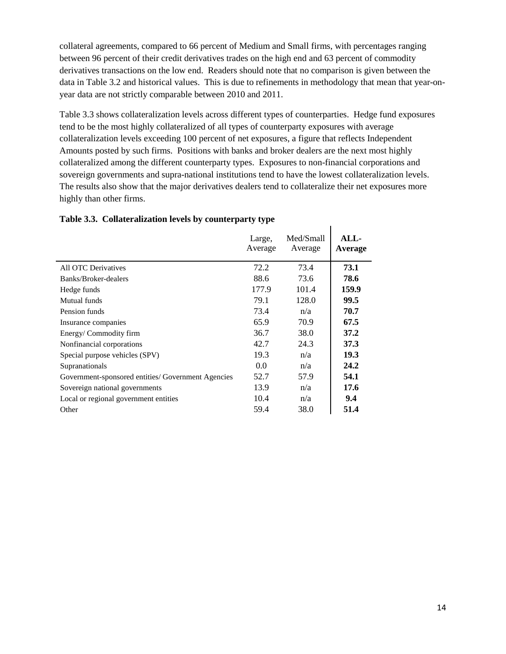collateral agreements, compared to 66 percent of Medium and Small firms, with percentages ranging between 96 percent of their credit derivatives trades on the high end and 63 percent of commodity derivatives transactions on the low end. Readers should note that no comparison is given between the data in Table 3.2 and historical values. This is due to refinements in methodology that mean that year-onyear data are not strictly comparable between 2010 and 2011.

Table 3.3 shows collateralization levels across different types of counterparties. Hedge fund exposures tend to be the most highly collateralized of all types of counterparty exposures with average collateralization levels exceeding 100 percent of net exposures, a figure that reflects Independent Amounts posted by such firms. Positions with banks and broker dealers are the next most highly collateralized among the different counterparty types. Exposures to non-financial corporations and sovereign governments and supra-national institutions tend to have the lowest collateralization levels. The results also show that the major derivatives dealers tend to collateralize their net exposures more highly than other firms.

 $\mathbf{I}$ 

|                                                    | Large,<br>Average | Med/Small<br>Average | ALL-<br>Average |
|----------------------------------------------------|-------------------|----------------------|-----------------|
| All OTC Derivatives                                | 72.2              | 73.4                 | 73.1            |
| Banks/Broker-dealers                               | 88.6              | 73.6                 | 78.6            |
| Hedge funds                                        | 177.9             | 101.4                | 159.9           |
| Mutual funds                                       | 79.1              | 128.0                | 99.5            |
| Pension funds                                      | 73.4              | n/a                  | 70.7            |
| Insurance companies                                | 65.9              | 70.9                 | 67.5            |
| Energy/Commodity firm                              | 36.7              | 38.0                 | 37.2            |
| Nonfinancial corporations                          | 42.7              | 24.3                 | 37.3            |
| Special purpose vehicles (SPV)                     | 19.3              | n/a                  | 19.3            |
| Supranationals                                     | 0.0               | n/a                  | 24.2            |
| Government-sponsored entities/ Government Agencies | 52.7              | 57.9                 | 54.1            |
| Sovereign national governments                     | 13.9              | n/a                  | 17.6            |
| Local or regional government entities              | 10.4              | n/a                  | 9.4             |
| Other                                              | 59.4              | 38.0                 | 51.4            |

#### **Table 3.3. Collateralization levels by counterparty type**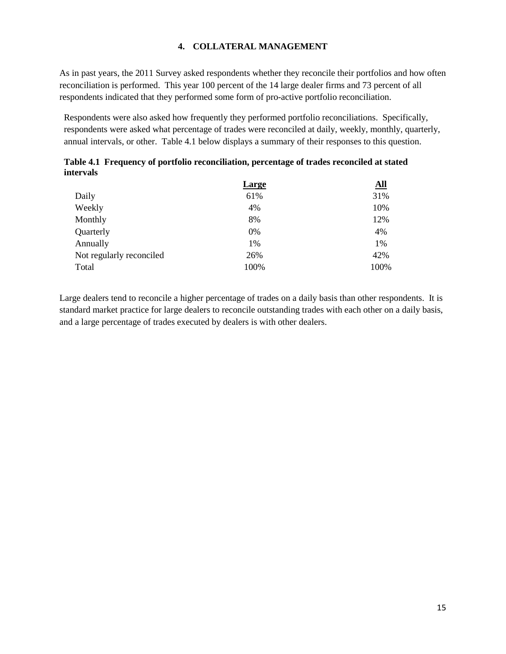#### **4. COLLATERAL MANAGEMENT**

As in past years, the 2011 Survey asked respondents whether they reconcile their portfolios and how often reconciliation is performed. This year 100 percent of the 14 large dealer firms and 73 percent of all respondents indicated that they performed some form of pro-active portfolio reconciliation.

Respondents were also asked how frequently they performed portfolio reconciliations. Specifically, respondents were asked what percentage of trades were reconciled at daily, weekly, monthly, quarterly, annual intervals, or other. Table 4.1 below displays a summary of their responses to this question.

|                          | <b>Large</b> | <u>All</u> |
|--------------------------|--------------|------------|
| Daily                    | 61%          | 31%        |
| Weekly                   | 4%           | 10%        |
| Monthly                  | 8%           | 12%        |
| Quarterly                | 0%           | 4%         |
| Annually                 | 1%           | 1%         |
| Not regularly reconciled | 26%          | 42%        |
| Total                    | 100%         | 100%       |

|                  | Table 4.1 Frequency of portfolio reconciliation, percentage of trades reconciled at stated |  |
|------------------|--------------------------------------------------------------------------------------------|--|
| <i>intervals</i> |                                                                                            |  |

Large dealers tend to reconcile a higher percentage of trades on a daily basis than other respondents. It is standard market practice for large dealers to reconcile outstanding trades with each other on a daily basis, and a large percentage of trades executed by dealers is with other dealers.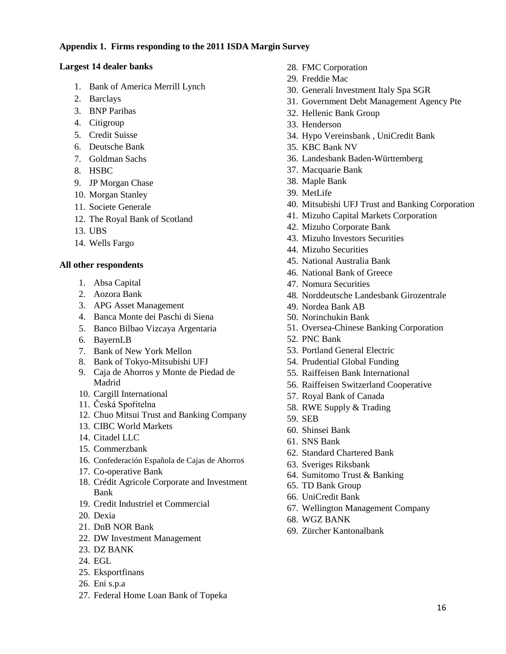#### **Appendix 1. Firms responding to the 2011 ISDA Margin Survey**

#### **Largest 14 dealer banks**

- 1. Bank of America Merrill Lynch
- 2. Barclays
- 3. BNP Paribas
- 4. Citigroup
- 5. Credit Suisse
- 6. Deutsche Bank
- 7. Goldman Sachs
- 8. HSBC
- 9. JP Morgan Chase
- 10. Morgan Stanley
- 11. Societe Generale
- 12. The Royal Bank of Scotland
- 13. UBS
- 14. Wells Fargo

## **All other respondents**

- 1. Absa Capital
- 2. Aozora Bank
- 3. APG Asset Management
- 4. Banca Monte dei Paschi di Siena
- 5. Banco Bilbao Vizcaya Argentaria
- 6. BayernLB
- 7. Bank of New York Mellon
- 8. Bank of Tokyo-Mitsubishi UFJ
- 9. Caja de Ahorros y Monte de Piedad de Madrid
- 10. Cargill International
- 11. Česká Spořitelna
- 12. Chuo Mitsui Trust and Banking Company
- 13. CIBC World Markets
- 14. Citadel LLC
- 15. Commerzbank
- 16. Confederación Española de Cajas de Ahorros
- 17. Co-operative Bank
- 18. Crédit Agricole Corporate and Investment Bank
- 19. Credit Industriel et Commercial
- 20. Dexia
- 21. DnB NOR Bank
- 22. DW Investment Management
- 23. DZ BANK
- 24. EGL
- 25. Eksportfinans
- 26. Eni s.p.a
- 27. Federal Home Loan Bank of Topeka
- 28. FMC Corporation
- 29. Freddie Mac
- 30. Generali Investment Italy Spa SGR
- 31. Government Debt Management Agency Pte
- 32. Hellenic Bank Group
- 33. Henderson
- 34. Hypo Vereinsbank , UniCredit Bank
- 35. KBC Bank NV
- 36. Landesbank Baden-Württemberg
- 37. Macquarie Bank
- 38. Maple Bank
- 39. MetLife
- 40. Mitsubishi UFJ Trust and Banking Corporation
- 41. Mizuho Capital Markets Corporation
- 42. Mizuho Corporate Bank
- 43. Mizuho Investors Securities
- 44. Mizuho Securities
- 45. National Australia Bank
- 46. National Bank of Greece
- 47. Nomura Securities
- 48. Norddeutsche Landesbank Girozentrale
- 49. Nordea Bank AB
- 50. Norinchukin Bank
- 51. Oversea-Chinese Banking Corporation
- 52. PNC Bank
- 53. Portland General Electric
- 54. Prudential Global Funding
- 55. Raiffeisen Bank International
- 56. Raiffeisen Switzerland Cooperative
- 57. Royal Bank of Canada
- 58. RWE Supply & Trading
- 59. SEB
- 60. Shinsei Bank
- 61. SNS Bank
- 62. Standard Chartered Bank
- 63. Sveriges Riksbank
- 64. Sumitomo Trust & Banking
- 65. TD Bank Group
- 66. UniCredit Bank
- 67. Wellington Management Company
- 68. WGZ BANK
- 69. Zürcher Kantonalbank